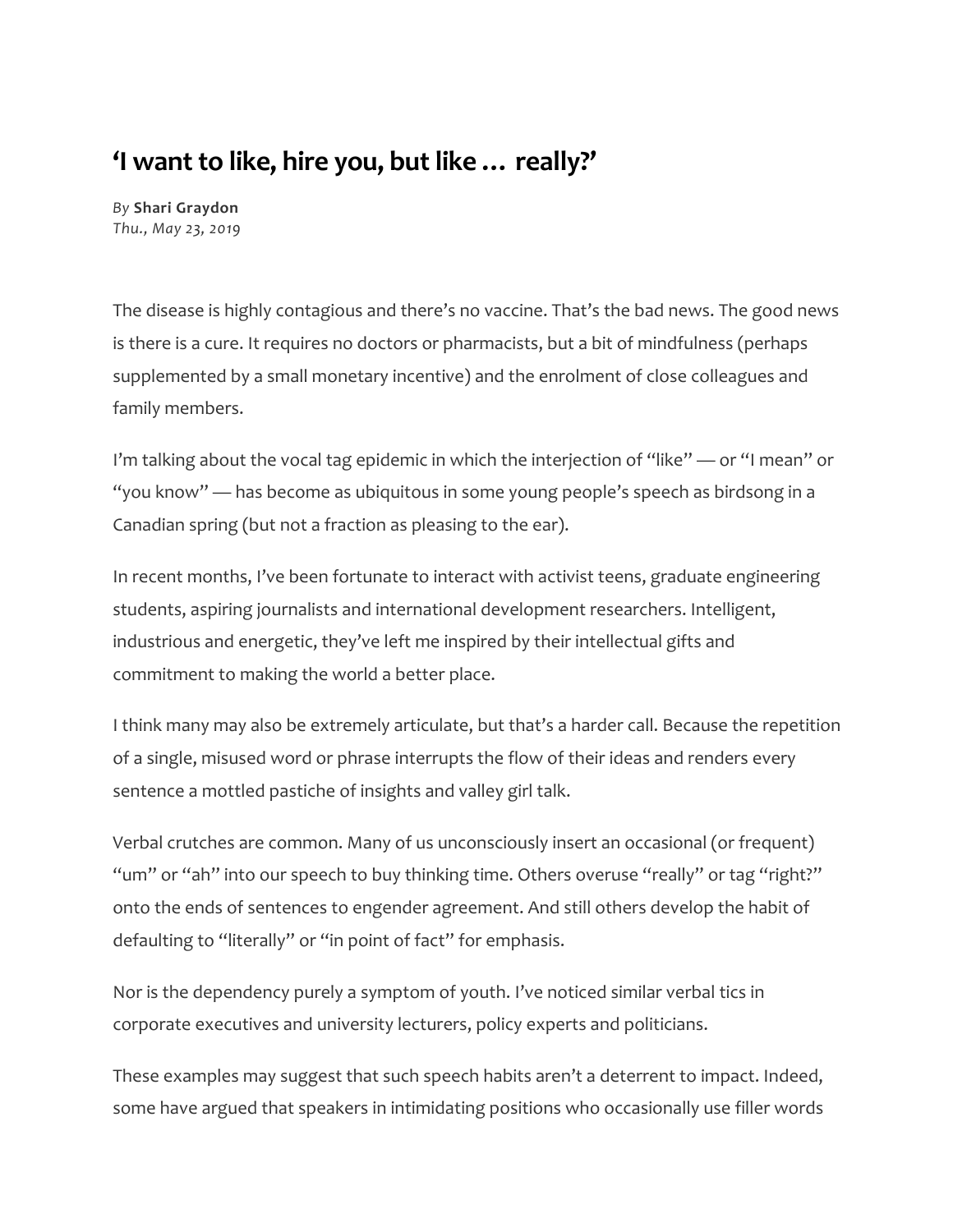## **'I want to like, hire you, but like … really?'**

*By* **Shari Graydon** *Thu., May 23, 2019*

The disease is highly contagious and there's no vaccine. That's the bad news. The good news is there is a cure. It requires no doctors or pharmacists, but a bit of mindfulness (perhaps supplemented by a small monetary incentive) and the enrolment of close colleagues and family members.

I'm talking about the vocal tag epidemic in which the interjection of "like" — or "I mean" or "you know" — has become as ubiquitous in some young people's speech as birdsong in a Canadian spring (but not a fraction as pleasing to the ear).

In recent months, I've been fortunate to interact with activist teens, graduate engineering students, aspiring journalists and international development researchers. Intelligent, industrious and energetic, they've left me inspired by their intellectual gifts and commitment to making the world a better place.

I think many may also be extremely articulate, but that's a harder call. Because the repetition of a single, misused word or phrase interrupts the flow of their ideas and renders every sentence a mottled pastiche of insights and valley girl talk.

Verbal crutches are common. Many of us unconsciously insert an occasional (or frequent) "um" or "ah" into our speech to buy thinking time. Others overuse "really" or tag "right?" onto the ends of sentences to engender agreement. And still others develop the habit of defaulting to "literally" or "in point of fact" for emphasis.

Nor is the dependency purely a symptom of youth. I've noticed similar verbal tics in corporate executives and university lecturers, policy experts and politicians.

These examples may suggest that such speech habits aren't a deterrent to impact. Indeed, some have argued that speakers in intimidating positions who occasionally use filler words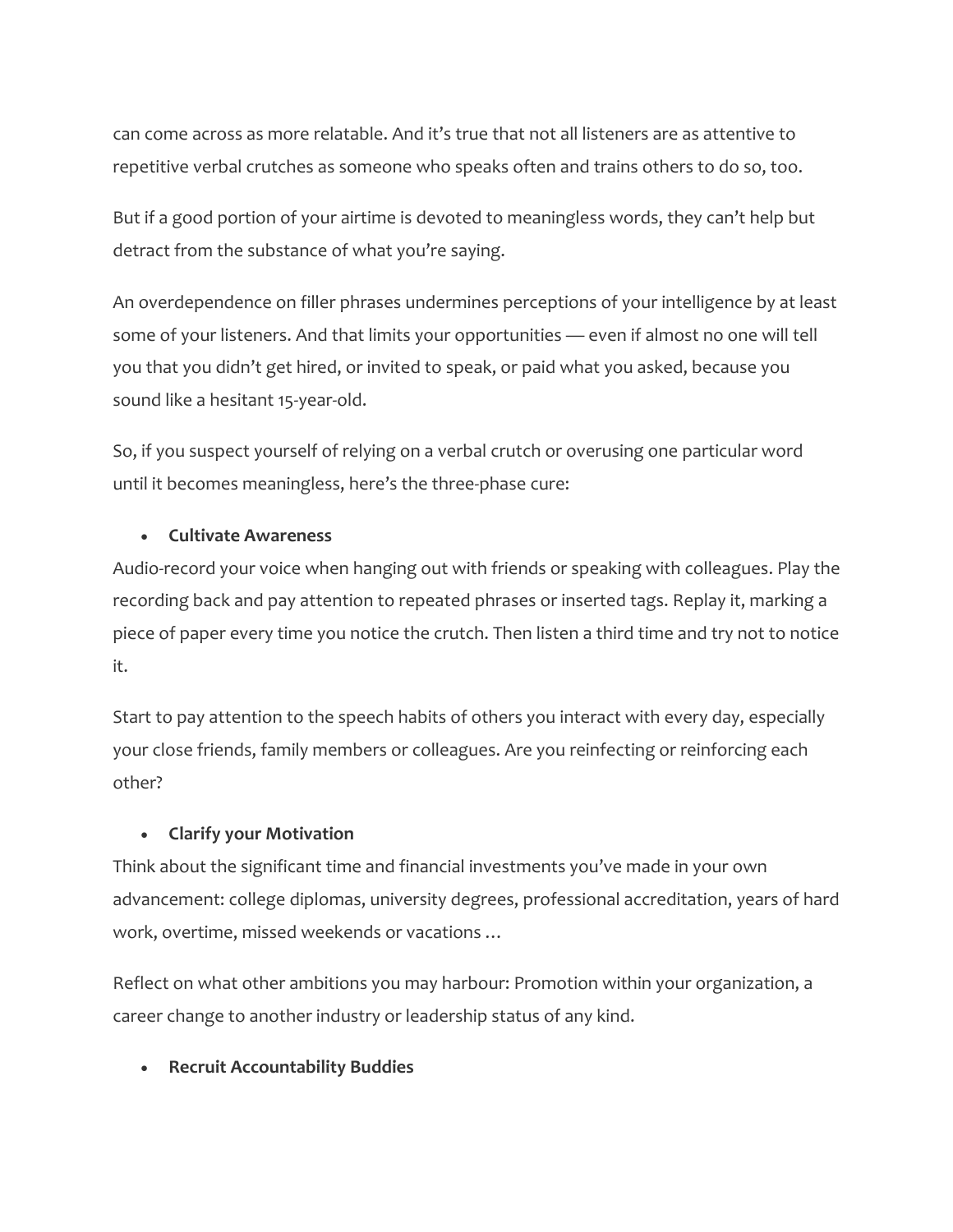can come across as more relatable. And it's true that not all listeners are as attentive to repetitive verbal crutches as someone who speaks often and trains others to do so, too.

But if a good portion of your airtime is devoted to meaningless words, they can't help but detract from the substance of what you're saying.

An overdependence on filler phrases undermines perceptions of your intelligence by at least some of your listeners. And that limits your opportunities — even if almost no one will tell you that you didn't get hired, or invited to speak, or paid what you asked, because you sound like a hesitant 15-year-old.

So, if you suspect yourself of relying on a verbal crutch or overusing one particular word until it becomes meaningless, here's the three-phase cure:

## • **Cultivate Awareness**

Audio-record your voice when hanging out with friends or speaking with colleagues. Play the recording back and pay attention to repeated phrases or inserted tags. Replay it, marking a piece of paper every time you notice the crutch. Then listen a third time and try not to notice it.

Start to pay attention to the speech habits of others you interact with every day, especially your close friends, family members or colleagues. Are you reinfecting or reinforcing each other?

## • **Clarify your Motivation**

Think about the significant time and financial investments you've made in your own advancement: college diplomas, university degrees, professional accreditation, years of hard work, overtime, missed weekends or vacations …

Reflect on what other ambitions you may harbour: Promotion within your organization, a career change to another industry or leadership status of any kind.

## • **Recruit Accountability Buddies**